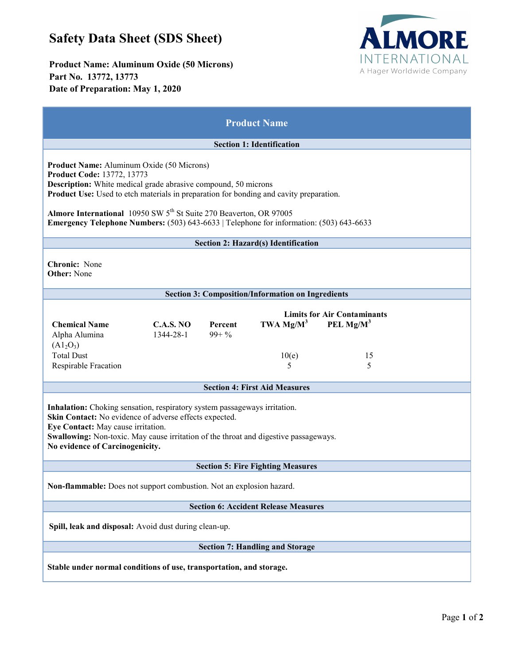# **Safety Data Sheet (SDS Sheet)**

**Product Name: Aluminum Oxide (50 Microns) Part No. 13772, 13773 Date of Preparation: May 1, 2020**



| <b>Product Name</b>                                                                                                                                                                                                                                                                                                                                                                                                                          |
|----------------------------------------------------------------------------------------------------------------------------------------------------------------------------------------------------------------------------------------------------------------------------------------------------------------------------------------------------------------------------------------------------------------------------------------------|
| <b>Section 1: Identification</b>                                                                                                                                                                                                                                                                                                                                                                                                             |
| <b>Product Name:</b> Aluminum Oxide (50 Microns)<br><b>Product Code: 13772, 13773</b><br><b>Description:</b> White medical grade abrasive compound, 50 microns<br>Product Use: Used to etch materials in preparation for bonding and cavity preparation.<br>Almore International 10950 SW 5 <sup>th</sup> St Suite 270 Beaverton, OR 97005<br><b>Emergency Telephone Numbers:</b> (503) 643-6633   Telephone for information: (503) 643-6633 |
| Section 2: Hazard(s) Identification                                                                                                                                                                                                                                                                                                                                                                                                          |
| <b>Chronic:</b> None<br><b>Other:</b> None                                                                                                                                                                                                                                                                                                                                                                                                   |
| <b>Section 3: Composition/Information on Ingredients</b>                                                                                                                                                                                                                                                                                                                                                                                     |
| <b>Limits for Air Contaminants</b><br>TWA $Mg/M^3$<br>PEL $Mg/M^3$<br><b>Chemical Name</b><br><b>C.A.S. NO</b><br>Percent<br>1344-28-1<br>$99 + \%$<br>Alpha Alumina<br>(A1 <sub>2</sub> O <sub>3</sub> )<br><b>Total Dust</b><br>15<br>10(e)<br>5<br>Respirable Fracation<br>5<br><b>Section 4: First Aid Measures</b>                                                                                                                      |
| Inhalation: Choking sensation, respiratory system passageways irritation.<br>Skin Contact: No evidence of adverse effects expected.<br>Eye Contact: May cause irritation.<br>Swallowing: Non-toxic. May cause irritation of the throat and digestive passageways.<br>No evidence of Carcinogenicity.                                                                                                                                         |
| <b>Section 5: Fire Fighting Measures</b>                                                                                                                                                                                                                                                                                                                                                                                                     |
| Non-flammable: Does not support combustion. Not an explosion hazard.                                                                                                                                                                                                                                                                                                                                                                         |
| <b>Section 6: Accident Release Measures</b>                                                                                                                                                                                                                                                                                                                                                                                                  |
| Spill, leak and disposal: Avoid dust during clean-up.                                                                                                                                                                                                                                                                                                                                                                                        |
| <b>Section 7: Handling and Storage</b>                                                                                                                                                                                                                                                                                                                                                                                                       |
| Stable under normal conditions of use, transportation, and storage.                                                                                                                                                                                                                                                                                                                                                                          |